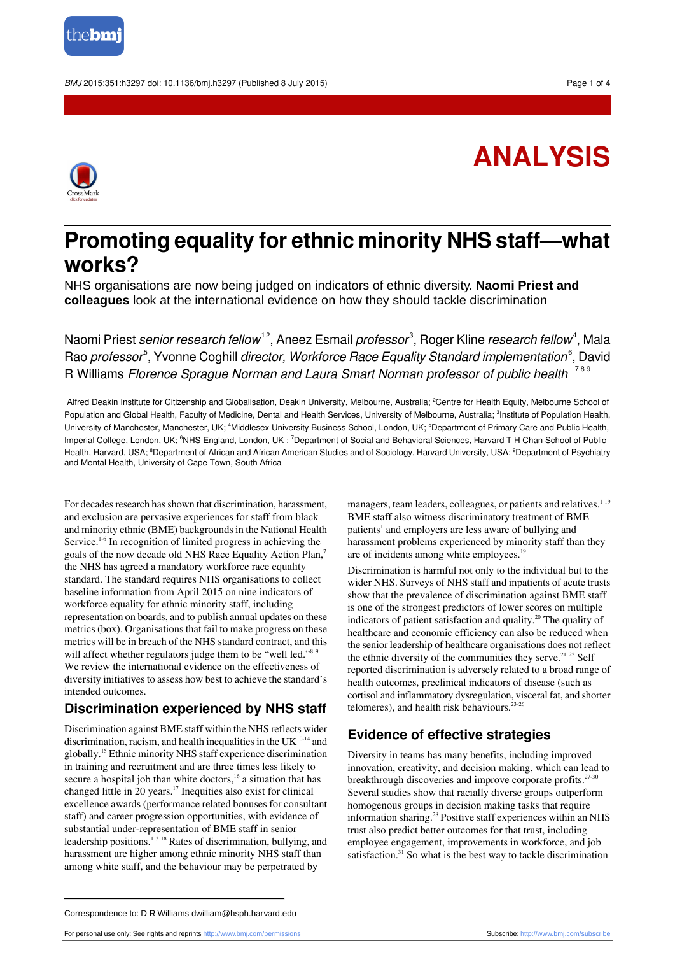

BMJ 2015;351:h3297 doi: 10.1136/bmj.h3297 (Published 8 July 2015) Page 1 of 4

# **ANALYSIS**



## **Promoting equality for ethnic minority NHS staff—what works?**

NHS organisations are now being judged on indicators of ethnic diversity. **Naomi Priest and colleagues** look at the international evidence on how they should tackle discrimination

Naomi Priest *senior research fellow*  $^{12}$ , Aneez Esmail *professor*  $^3$ , Roger Kline *research fellow*  $^4$ , Mala Rao *professor<sup>5</sup>*, Yvonne Coghill *director, Workforce Race Equality Standard implementation<sup>6</sup>, David* R Williams Florence Sprague Norman and Laura Smart Norman professor of public health<sup>789</sup>

1Alfred Deakin Institute for Citizenship and Globalisation, Deakin University, Melbourne, Australia; <sup>2</sup>Centre for Health Equity, Melbourne School of Population and Global Health, Faculty of Medicine, Dental and Health Services, University of Melbourne, Australia; <sup>3</sup>Institute of Population Health, University of Manchester, Manchester, UK; <sup>4</sup>Middlesex University Business School, London, UK; <sup>5</sup>Department of Primary Care and Public Health, lmperial College, London, UK; <sup>6</sup>NHS England, London, UK ; <sup>7</sup>Department of Social and Behavioral Sciences, Harvard T H Chan School of Public Health, Harvard, USA; <sup>8</sup>Department of African and African American Studies and of Sociology, Harvard University, USA; <sup>9</sup>Department of Psychiatry and Mental Health, University of Cape Town, South Africa

For decades research has shown that discrimination, harassment, and exclusion are pervasive experiences for staff from black and minority ethnic (BME) backgrounds in the National Health Service.<sup>1-6</sup> In recognition of limited progress in achieving the goals of the now decade old NHS Race Equality Action Plan,<sup>7</sup> the NHS has agreed a mandatory workforce race equality standard. The standard requires NHS organisations to collect baseline information from April 2015 on nine indicators of workforce equality for ethnic minority staff, including representation on boards, and to publish annual updates on these metrics (box). Organisations that fail to make progress on these metrics will be in breach of the NHS standard contract, and this will affect whether regulators judge them to be "well led."<sup>8 9</sup> We review the international evidence on the effectiveness of diversity initiatives to assess how best to achieve the standard's intended outcomes.

## **Discrimination experienced by NHS staff**

Discrimination against BME staff within the NHS reflects wider discrimination, racism, and health inequalities in the  $UK<sup>10-14</sup>$  and globally.<sup>15</sup> Ethnic minority NHS staff experience discrimination in training and recruitment and are three times less likely to secure a hospital job than white doctors,<sup>16</sup> a situation that has changed little in 20 years.<sup>17</sup> Inequities also exist for clinical excellence awards (performance related bonuses for consultant staff) and career progression opportunities, with evidence of substantial under-representation of BME staff in senior leadership positions.<sup>1318</sup> Rates of discrimination, bullying, and harassment are higher among ethnic minority NHS staff than among white staff, and the behaviour may be perpetrated by

managers, team leaders, colleagues, or patients and relatives.<sup>19</sup> BME staff also witness discriminatory treatment of BME patients<sup>1</sup> and employers are less aware of bullying and harassment problems experienced by minority staff than they are of incidents among white employees.<sup>19</sup>

Discrimination is harmful not only to the individual but to the wider NHS. Surveys of NHS staff and inpatients of acute trusts show that the prevalence of discrimination against BME staff is one of the strongest predictors of lower scores on multiple indicators of patient satisfaction and quality.<sup>20</sup> The quality of healthcare and economic efficiency can also be reduced when the senior leadership of healthcare organisations does not reflect the ethnic diversity of the communities they serve.<sup>21 22</sup> Self reported discrimination is adversely related to a broad range of health outcomes, preclinical indicators of disease (such as cortisol and inflammatory dysregulation, visceral fat, and shorter telomeres), and health risk behaviours.23-26

## **Evidence of effective strategies**

Diversity in teams has many benefits, including improved innovation, creativity, and decision making, which can lead to breakthrough discoveries and improve corporate profits. $27-3$ Several studies show that racially diverse groups outperform homogenous groups in decision making tasks that require information sharing.<sup>28</sup> Positive staff experiences within an NHS trust also predict better outcomes for that trust, including employee engagement, improvements in workforce, and job satisfaction.<sup>31</sup> So what is the best way to tackle discrimination

Correspondence to: D R Williams dwilliam@hsph.harvard.edu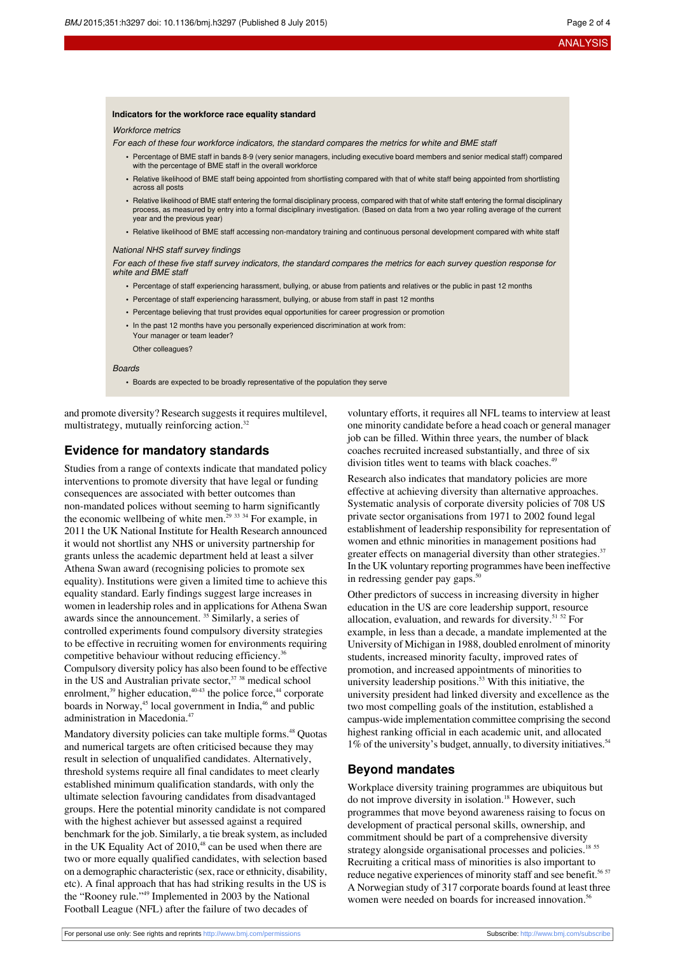#### **Indicators for the workforce race equality standard**

Workforce metrics

For each of these four workforce indicators, the standard compares the metrics for white and BME staff

- **•** Percentage of BME staff in bands 8-9 (very senior managers, including executive board members and senior medical staff) compared with the percentage of BME staff in the overall workforce
- **•** Relative likelihood of BME staff being appointed from shortlisting compared with that of white staff being appointed from shortlisting across all posts
- **•** Relative likelihood of BME staff entering the formal disciplinary process, compared with that of white staff entering the formal disciplinary process, as measured by entry into a formal disciplinary investigation. (Based on data from a two year rolling average of the current year and the previous year)
- **•** Relative likelihood of BME staff accessing non-mandatory training and continuous personal development compared with white staff

#### National NHS staff survey findings

For each of these five staff survey indicators, the standard compares the metrics for each survey question response for white and BME staff

- **•** Percentage of staff experiencing harassment, bullying, or abuse from patients and relatives or the public in past 12 months
- **•** Percentage of staff experiencing harassment, bullying, or abuse from staff in past 12 months
- **•** Percentage believing that trust provides equal opportunities for career progression or promotion
- **•** In the past 12 months have you personally experienced discrimination at work from: Your manager or team leader? Other colleagues?

#### Boards

**•** Boards are expected to be broadly representative of the population they serve

and promote diversity? Research suggests it requires multilevel, multistrategy, mutually reinforcing action.<sup>32</sup>

### **Evidence for mandatory standards**

Studies from a range of contexts indicate that mandated policy interventions to promote diversity that have legal or funding consequences are associated with better outcomes than non-mandated polices without seeming to harm significantly the economic wellbeing of white men.<sup>29 33 34</sup> For example, in 2011 the UK National Institute for Health Research announced it would not shortlist any NHS or university partnership for grants unless the academic department held at least a silver Athena Swan award (recognising policies to promote sex equality). Institutions were given a limited time to achieve this equality standard. Early findings suggest large increases in women in leadership roles and in applications for Athena Swan awards since the announcement.  $35$  Similarly, a series of controlled experiments found compulsory diversity strategies to be effective in recruiting women for environments requiring competitive behaviour without reducing efficiency.<sup>3</sup> Compulsory diversity policy has also been found to be effective in the US and Australian private sector,<sup>37</sup> <sup>38</sup> medical school enrolment, $39$  higher education, $40-43$  the police force, $44$  corporate boards in Norway,<sup>45</sup> local government in India,<sup>46</sup> and public administration in Macedonia.<sup>47</sup>

Mandatory diversity policies can take multiple forms.<sup>48</sup> Quotas and numerical targets are often criticised because they may result in selection of unqualified candidates. Alternatively, threshold systems require all final candidates to meet clearly established minimum qualification standards, with only the ultimate selection favouring candidates from disadvantaged groups. Here the potential minority candidate is not compared with the highest achiever but assessed against a required benchmark for the job. Similarly, a tie break system, as included in the UK Equality Act of 2010,<sup>48</sup> can be used when there are two or more equally qualified candidates, with selection based on a demographic characteristic (sex, race or ethnicity, disability, etc). A final approach that has had striking results in the US is the "Rooney rule."<sup>49</sup> Implemented in 2003 by the National Football League (NFL) after the failure of two decades of

voluntary efforts, it requires all NFL teams to interview at least one minority candidate before a head coach or general manager job can be filled. Within three years, the number of black coaches recruited increased substantially, and three of six division titles went to teams with black coaches.<sup>49</sup>

Research also indicates that mandatory policies are more effective at achieving diversity than alternative approaches. Systematic analysis of corporate diversity policies of 708 US private sector organisations from 1971 to 2002 found legal establishment of leadership responsibility for representation of women and ethnic minorities in management positions had greater effects on managerial diversity than other strategies.<sup>37</sup> In the UK voluntary reporting programmes have been ineffective in redressing gender pay gaps. $50$ 

Other predictors of success in increasing diversity in higher education in the US are core leadership support, resource allocation, evaluation, and rewards for diversity.<sup>51</sup> <sup>52</sup> For example, in less than a decade, a mandate implemented at the University of Michigan in 1988, doubled enrolment of minority students, increased minority faculty, improved rates of promotion, and increased appointments of minorities to university leadership positions.<sup>53</sup> With this initiative, the university president had linked diversity and excellence as the two most compelling goals of the institution, established a campus-wide implementation committee comprising the second highest ranking official in each academic unit, and allocated 1% of the university's budget, annually, to diversity initiatives.<sup>54</sup>

#### **Beyond mandates**

Workplace diversity training programmes are ubiquitous but do not improve diversity in isolation.<sup>18</sup> However, such programmes that move beyond awareness raising to focus on development of practical personal skills, ownership, and commitment should be part of a comprehensive diversity strategy alongside organisational processes and policies.<sup>18 55</sup> Recruiting a critical mass of minorities is also important to reduce negative experiences of minority staff and see benefit.<sup>56 57</sup> A Norwegian study of 317 corporate boards found at least three women were needed on boards for increased innovation.<sup>56</sup>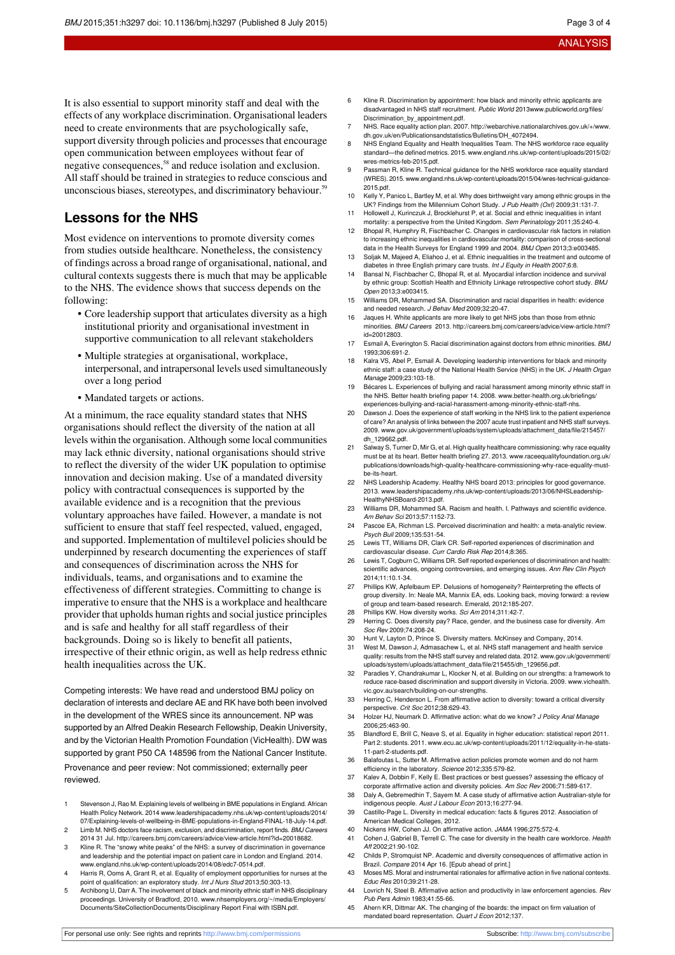It is also essential to support minority staff and deal with the effects of any workplace discrimination. Organisational leaders need to create environments that are psychologically safe, support diversity through policies and processes that encourage open communication between employees without fear of negative consequences,<sup>58</sup> and reduce isolation and exclusion. All staff should be trained in strategies to reduce conscious and unconscious biases, stereotypes, and discriminatory behaviour.<sup>59</sup>

## **Lessons for the NHS**

Most evidence on interventions to promote diversity comes from studies outside healthcare. Nonetheless, the consistency of findings across a broad range of organisational, national, and cultural contexts suggests there is much that may be applicable to the NHS. The evidence shows that success depends on the following:

- **•** Core leadership support that articulates diversity as a high institutional priority and organisational investment in supportive communication to all relevant stakeholders
- **•** Multiple strategies at organisational, workplace, interpersonal, and intrapersonal levels used simultaneously over a long period
- **•** Mandated targets or actions.

At a minimum, the race equality standard states that NHS organisations should reflect the diversity of the nation at all levels within the organisation. Although some local communities may lack ethnic diversity, national organisations should strive to reflect the diversity of the wider UK population to optimise innovation and decision making. Use of a mandated diversity policy with contractual consequences is supported by the available evidence and is a recognition that the previous voluntary approaches have failed. However, a mandate is not sufficient to ensure that staff feel respected, valued, engaged, and supported. Implementation of multilevel policies should be underpinned by research documenting the experiences of staff and consequences of discrimination across the NHS for individuals, teams, and organisations and to examine the effectiveness of different strategies. Committing to change is imperative to ensure that the NHS is a workplace and healthcare provider that upholds human rights and social justice principles and is safe and healthy for all staff regardless of their backgrounds. Doing so is likely to benefit all patients, irrespective of their ethnic origin, as well as help redress ethnic health inequalities across the UK.

Competing interests: We have read and understood BMJ policy on declaration of interests and declare AE and RK have both been involved in the development of the WRES since its announcement. NP was supported by an Alfred Deakin Research Fellowship, Deakin University, and by the Victorian Health Promotion Foundation (VicHealth). DW was supported by grant P50 CA 148596 from the National Cancer Institute. Provenance and peer review: Not commissioned; externally peer reviewed.

- 1 Stevenson J, Rao M. Explaining levels of wellbeing in BME populations in England. African Health Policy Network. 2014 [www.leadershipacademy.nhs.uk/wp-content/uploads/2014/](http://www.leadershipacademy.nhs.uk/wp-content/uploads/2014/07/Explaining-levels-of-wellbeing-in-BME-populations-in-England-FINAL-18-July-14.pdf) [07/Explaining-levels-of-wellbeing-in-BME-populations-in-England-FINAL-18-July-14.pdf](http://www.leadershipacademy.nhs.uk/wp-content/uploads/2014/07/Explaining-levels-of-wellbeing-in-BME-populations-in-England-FINAL-18-July-14.pdf).
- 2 Limb M. NHS doctors face racism, exclusion, and discrimination, report finds. BMJ Careers 2014 31 Jul. <http://careers.bmj.com/careers/advice/view-article.html?id=20018682>.
- 3 Kline R. The "snowy white peaks" of the NHS: a survey of discrimination in governance and leadership and the potential impact on patient care in London and England. 2014. [www.england.nhs.uk/wp-content/uploads/2014/08/edc7-0514.pdf](http://www.england.nhs.uk/wp-content/uploads/2014/08/edc7-0514.pdf).
- Harris R, Ooms A, Grant R, et al. Equality of employment opportunities for nurses at the point of qualification: an exploratory study. Int J Nurs Stud 2013;50:303-13.
- 5 Archibong U, Darr A. The involvement of black and minority ethnic staff in NHS disciplinary proceedings. University of Bradford, 2010. [www.nhsemployers.org/~/media/Employers/](http://www.nhsemployers.org/~/media/Employers/Documents/SiteCollectionDocuments/Disciplinary) [Documents/SiteCollectionDocuments/Disciplinary](http://www.nhsemployers.org/~/media/Employers/Documents/SiteCollectionDocuments/Disciplinary) Report Final with ISBN.pdf.
- 6 Kline R. Discrimination by appointment: how black and minority ethnic applicants are disadvantaged in NHS staff recruitment. Public World 201[3www.publicworld.org/files/](http://www.publicworld.org/files/Discrimination_by_appointment.pdf) [Discrimination\\_by\\_appointment.pdf.](http://www.publicworld.org/files/Discrimination_by_appointment.pdf)
- NHS. Race equality action plan. 2007. http://webarchive.nationalarchives.gov.uk/+/w [dh.gov.uk/en/Publicationsandstatistics/Bulletins/DH\\_4072494](http://webarchive.nationalarchives.gov.uk/+/www.dh.gov.uk/en/Publicationsandstatistics/Bulletins/DH_4072494).
- **England Equality and Health Inequalities Team. The NHS workforce race equality** standard—the defined metrics. 2015. [www.england.nhs.uk/wp-content/uploads/2015/02/](http://www.england.nhs.uk/wp-content/uploads/2015/02/wres-metrics-feb-2015.pdf) [wres-metrics-feb-2015.pdf](http://www.england.nhs.uk/wp-content/uploads/2015/02/wres-metrics-feb-2015.pdf).
- 9 Passman R, Kline R. Technical guidance for the NHS workforce race equality standard (WRES). 2015. [www.england.nhs.uk/wp-content/uploads/2015/04/wres-technical-guidance-](http://www.england.nhs.uk/wp-content/uploads/2015/04/wres-technical-guidance-2015.pdf)[2015.pdf.](http://www.england.nhs.uk/wp-content/uploads/2015/04/wres-technical-guidance-2015.pdf)
- 10 Kelly Y, Panico L, Bartley M, et al. Why does birthweight vary among ethnic groups in the UK? Findings from the Millennium Cohort Study. J Pub Health (Oxf) 2009;31:131-7.
- 11 Hollowell J, Kurinczuk J, Brocklehurst P, et al. Social and ethnic inequalities in infant mortality: a perspective from the United Kingdom. Sem Perinatology 2011;35:240-4.
- 12 Bhopal R, Humphry R, Fischbacher C. Changes in cardiovascular risk factors in relation to increasing ethnic inequalities in cardiovascular mortality: comparison of cross-sectional data in the Health Surveys for England 1999 and 2004. BMJ Open 2013;3:e003485.
- 13 Soljak M, Majeed A, Eliahoo J, et al. Ethnic inequalities in the treatment and outcome of diabetes in three English primary care trusts. Int J Equity in Health 2007;6:8.
- 14 Bansal N, Fischbacher C, Bhopal R, et al. Myocardial infarction incidence and survival by ethnic group: Scottish Health and Ethnicity Linkage retrospective cohort study. BMJ Open 2013;3:e003415.
- 15 Williams DR, Mohammed SA. Discrimination and racial disparities in health: evidence and needed research. J Behav Med 2009;32:20-47.
- 16 Jaques H. White applicants are more likely to get NHS jobs than those from ethnic minorities. BMJ Careers 2013. [http://careers.bmj.com/careers/advice/view-article.html?](http://careers.bmj.com/careers/advice/view-article.html?id=20012803) [id=20012803.](http://careers.bmj.com/careers/advice/view-article.html?id=20012803)
- 17 Esmail A, Everington S. Racial discrimination against doctors from ethnic minorities. BM, 1993;306:691-2.
- 18 Kalra VS, Abel P, Esmail A. Developing leadership interventions for black and minority ethnic staff: a case study of the National Health Service (NHS) in the UK. J Health Organ Manage 2009;23:103-18.
- 19 Bécares L. Experiences of bullying and racial harassment among minority ethnic staff in the NHS. Better health briefing paper 14. 2008. [www.better-health.org.uk/briefings/](http://www.better-health.org.uk/briefings/experiences-bullying-and-racial-harassment-among-minority-ethnic-staff-nhs) [experiences-bullying-and-racial-harassment-among-minority-ethnic-staff-nhs.](http://www.better-health.org.uk/briefings/experiences-bullying-and-racial-harassment-among-minority-ethnic-staff-nhs)
- 20 Dawson J. Does the experience of staff working in the NHS link to the patient experience of care? An analysis of links between the 2007 acute trust inpatient and NHS staff surveys. 2009. [www.gov.uk/government/uploads/system/uploads/attachment\\_data/file/215457/](http://www.gov.uk/government/uploads/system/uploads/attachment_data/file/215457/dh_129662.pdf) [dh\\_129662.pdf](http://www.gov.uk/government/uploads/system/uploads/attachment_data/file/215457/dh_129662.pdf).
- 21 Salway S, Turner D, Mir G, et al. High quality healthcare commissioning: why race equality must be at its heart. Better health briefing 27. 2013. [www.raceequalityfoundation.org.uk/](http://www.raceequalityfoundation.org.uk/publications/downloads/high-quality-healthcare-commissioning-why-race-equality-must-be-its-heart) [publications/downloads/high-quality-healthcare-commissioning-why-race-equality-must](http://www.raceequalityfoundation.org.uk/publications/downloads/high-quality-healthcare-commissioning-why-race-equality-must-be-its-heart)[be-its-heart](http://www.raceequalityfoundation.org.uk/publications/downloads/high-quality-healthcare-commissioning-why-race-equality-must-be-its-heart).
- 22 NHS Leadership Academy. Healthy NHS board 2013: principles for good governance. 2013. [www.leadershipacademy.nhs.uk/wp-content/uploads/2013/06/NHSLeadership-](http://www.leadershipacademy.nhs.uk/wp-content/uploads/2013/06/NHSLeadership-HealthyNHSBoard-2013.pdf)[HealthyNHSBoard-2013.pdf](http://www.leadershipacademy.nhs.uk/wp-content/uploads/2013/06/NHSLeadership-HealthyNHSBoard-2013.pdf).
- 23 Williams DR, Mohammed SA. Racism and health. I. Pathways and scientific evide Am Behav Sci 2013;57:1152-73.
- 24 Pascoe EA, Richman LS. Perceived discrimination and health: a meta-analytic review. Psych Bull 2009;135:531-54.
- 25 Lewis TT, Williams DR, Clark CR. Self-reported experiences of discrimination and cardiovascular disease. Curr Cardio Risk Rep 2014;8:365.
- 26 Lewis T, Cogburn C, Williams DR. Self reported experiences of discriminatinon and health: scientific advances, ongoing controversies, and emerging issues. Ann Rev Clin Psych 2014;11:10.1-34.
- 27 Phillips KW, Apfelbaum EP. Delusions of homogeneity? Reinterpreting the effects of group diversity. In: Neale MA, Mannix EA, eds. Looking back, moving forward: a review of group and team-based research. Emerald, 2012:185-207.
- 28 Phillips KW. How diversity works. Sci Am 2014;311:42-7.<br>29 Herring C. Does diversity pay? Bace, gender, and the bu
- Herring C. Does diversity pay? Race, gender, and the business case for diversity. Am Soc Rev 2009;74:208-24.
- 30 Hunt V, Layton D, Prince S. Diversity matters. McKinsey and Company, 2014.
- 31 West M, Dawson J, Admasachew L, et al. NHS staff management and health service quality: results from the NHS staff survey and related data. 2012. [www.gov.uk/government/](http://www.gov.uk/government/uploads/system/uploads/attachment_data/file/215455/dh_129656.pdf) [uploads/system/uploads/attachment\\_data/file/215455/dh\\_129656.pdf.](http://www.gov.uk/government/uploads/system/uploads/attachment_data/file/215455/dh_129656.pdf)
- 32 Paradies Y, Chandrakumar L, Klocker N, et al. Building on our strengths: a framework to reduce race-based discrimination and support diversity in Victoria. 2009. [www.vichealth.](http://www.vichealth.vic.gov.au/search/building-on-our-strengths) [vic.gov.au/search/building-on-our-strengths.](http://www.vichealth.vic.gov.au/search/building-on-our-strengths)
- 33 Herring C, Henderson L. From affirmative action to diversity: toward a critical diversity perspective. Crit Soc 2012;38:629-43.
- 34 Holzer HJ, Neumark D. Affirmative action: what do we know? J Policy Anal Manage 2006;25:463-90.
- 35 Blandford E, Brill C, Neave S, et al. Equality in higher education: statistical report 2011. Part 2: students. 2011. [www.ecu.ac.uk/wp-content/uploads/2011/12/equality-in-he-stats-](http://www.ecu.ac.uk/wp-content/uploads/2011/12/equality-in-he-stats-11-part-2-students.pdf)[11-part-2-students.pdf](http://www.ecu.ac.uk/wp-content/uploads/2011/12/equality-in-he-stats-11-part-2-students.pdf).
- 36 Balafoutas L, Sutter M. Affirmative action policies promote women and do not harm efficiency in the laboratory. Science 2012;335:579-82.
- 37 Kalev A, Dobbin F, Kelly E. Best practices or best guesses? assessing the efficacy of corporate affirmative action and diversity policies. Am Soc Rev 2006;71:589-617.
- 38 Daly A, Gebremedhin T, Sayem M. A case study of affirmative action Australian-style for indigenous people. Aust J Labour Econ 2013;16:277-94
- 39 Castillo-Page L. Diversity in medical education: facts & figures 2012. Association of American Medical Colleges, 2012.
- 40 Nickens HW, Cohen JJ. On affirmative action. JAMA 1996;275:572-4.
- 41 Cohen J, Gabriel B, Terrell C. The case for diversity in the health care workforce. Health Aff 2002;21:90-102.
- 42 Childs P, Stromquist NP. Academic and diversity consequences of affirmative action in Brazil. Compare 2014 Apr 16. [Epub ahead of print.]
- 43 Moses MS. Moral and instrumental rationales for affirmative action in five national contexts. Educ Res 2010;39:211-28.
- 44 Lovrich N, Steel B. Affirmative action and productivity in law enforcement agencies. Rev Pub Pers Admin 1983;41:55-66.
- 45 Ahern KR, Dittmar AK. The changing of the boards: the impact on firm valuation of mandated board representation. Quart J Econ 2012;137.